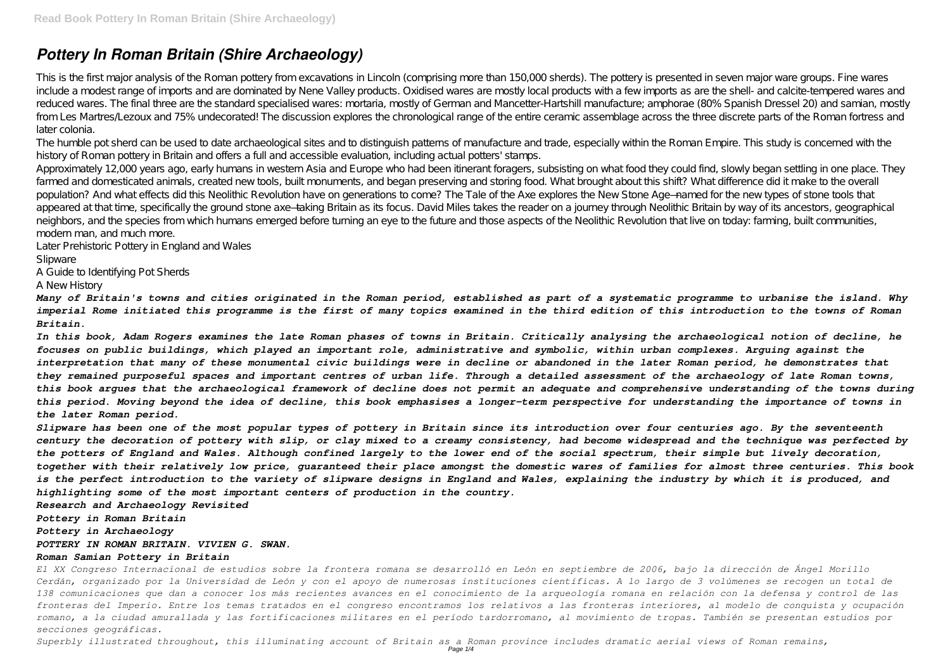# *Pottery In Roman Britain (Shire Archaeology)*

This is the first major analysis of the Roman pottery from excavations in Lincoln (comprising more than 150,000 sherds). The pottery is presented in seven major ware groups. Fine wares include a modest range of imports and are dominated by Nene Valley products. Oxidised wares are mostly local products with a few imports as are the shell- and calcite-tempered wares and reduced wares. The final three are the standard specialised wares: mortaria, mostly of German and Mancetter-Hartshill manufacture; amphorae (80% Spanish Dressel 20) and samian, mostly from Les Martres/Lezoux and 75% undecorated! The discussion explores the chronological range of the entire ceramic assemblage across the three discrete parts of the Roman fortress and later colonia.

The humble pot sherd can be used to date archaeological sites and to distinguish patterns of manufacture and trade, especially within the Roman Empire. This study is concerned with the history of Roman pottery in Britain and offers a full and accessible evaluation, including actual potters' stamps.

Approximately 12,000 years ago, early humans in western Asia and Europe who had been itinerant foragers, subsisting on what food they could find, slowly began settling in one place. They farmed and domesticated animals, created new tools, built monuments, and began preserving and storing food. What brought about this shift? What difference did it make to the overall population? And what effects did this Neolithic Revolution have on generations to come? The Tale of the Axe explores the New Stone Age—named for the new types of stone tools that appeared at that time, specifically the ground stone axe—taking Britain as its focus. David Miles takes the reader on a journey through Neolithic Britain by way of its ancestors, geographical neighbors, and the species from which humans emerged before turning an eye to the future and those aspects of the Neolithic Revolution that live on today: farming, built communities, modern man, and much more.

Later Prehistoric Pottery in England and Wales

**Slipware** 

A Guide to Identifying Pot Sherds

A New History

*Many of Britain's towns and cities originated in the Roman period, established as part of a systematic programme to urbanise the island. Why imperial Rome initiated this programme is the first of many topics examined in the third edition of this introduction to the towns of Roman Britain.*

*Superbly illustrated throughout, this illuminating account of Britain as a Roman province includes dramatic aerial views of Roman remains,* Page 1/4

*In this book, Adam Rogers examines the late Roman phases of towns in Britain. Critically analysing the archaeological notion of decline, he focuses on public buildings, which played an important role, administrative and symbolic, within urban complexes. Arguing against the interpretation that many of these monumental civic buildings were in decline or abandoned in the later Roman period, he demonstrates that they remained purposeful spaces and important centres of urban life. Through a detailed assessment of the archaeology of late Roman towns, this book argues that the archaeological framework of decline does not permit an adequate and comprehensive understanding of the towns during this period. Moving beyond the idea of decline, this book emphasises a longer-term perspective for understanding the importance of towns in the later Roman period.*

*Slipware has been one of the most popular types of pottery in Britain since its introduction over four centuries ago. By the seventeenth century the decoration of pottery with slip, or clay mixed to a creamy consistency, had become widespread and the technique was perfected by the potters of England and Wales. Although confined largely to the lower end of the social spectrum, their simple but lively decoration, together with their relatively low price, guaranteed their place amongst the domestic wares of families for almost three centuries. This book is the perfect introduction to the variety of slipware designs in England and Wales, explaining the industry by which it is produced, and highlighting some of the most important centers of production in the country.*

*Research and Archaeology Revisited*

*Pottery in Roman Britain*

*Pottery in Archaeology*

### *POTTERY IN ROMAN BRITAIN. VIVIEN G. SWAN.*

### *Roman Samian Pottery in Britain*

*El XX Congreso Internacional de estudios sobre la frontera romana se desarrolló en León en septiembre de 2006, bajo la dirección de Ángel Morillo Cerdán, organizado por la Universidad de León y con el apoyo de numerosas instituciones científicas. A lo largo de 3 volúmenes se recogen un total de 138 comunicaciones que dan a conocer los más recientes avances en el conocimiento de la arqueología romana en relación con la defensa y control de las fronteras del Imperio. Entre los temas tratados en el congreso encontramos los relativos a las fronteras interiores, al modelo de conquista y ocupación romano, a la ciudad amurallada y las fortificaciones militares en el período tardorromano, al movimiento de tropas. También se presentan estudios por secciones geográficas.*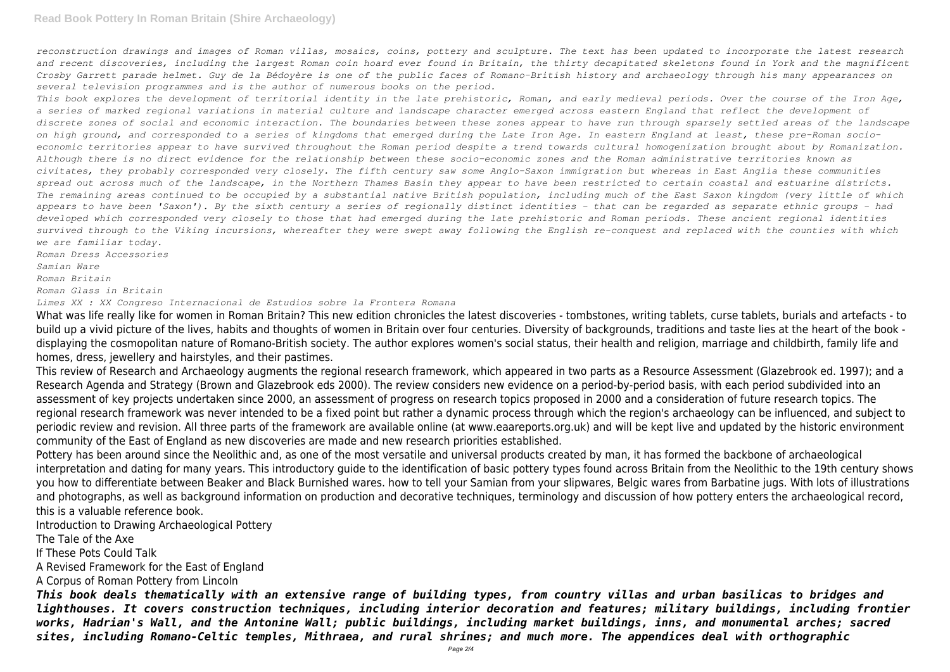## **Read Book Pottery In Roman Britain (Shire Archaeology)**

*reconstruction drawings and images of Roman villas, mosaics, coins, pottery and sculpture. The text has been updated to incorporate the latest research and recent discoveries, including the largest Roman coin hoard ever found in Britain, the thirty decapitated skeletons found in York and the magnificent Crosby Garrett parade helmet. Guy de la Bédoyère is one of the public faces of Romano-British history and archaeology through his many appearances on several television programmes and is the author of numerous books on the period.*

*This book explores the development of territorial identity in the late prehistoric, Roman, and early medieval periods. Over the course of the Iron Age, a series of marked regional variations in material culture and landscape character emerged across eastern England that reflect the development of discrete zones of social and economic interaction. The boundaries between these zones appear to have run through sparsely settled areas of the landscape on high ground, and corresponded to a series of kingdoms that emerged during the Late Iron Age. In eastern England at least, these pre-Roman socioeconomic territories appear to have survived throughout the Roman period despite a trend towards cultural homogenization brought about by Romanization. Although there is no direct evidence for the relationship between these socio-economic zones and the Roman administrative territories known as civitates, they probably corresponded very closely. The fifth century saw some Anglo-Saxon immigration but whereas in East Anglia these communities spread out across much of the landscape, in the Northern Thames Basin they appear to have been restricted to certain coastal and estuarine districts. The remaining areas continued to be occupied by a substantial native British population, including much of the East Saxon kingdom (very little of which appears to have been 'Saxon'). By the sixth century a series of regionally distinct identities - that can be regarded as separate ethnic groups - had developed which corresponded very closely to those that had emerged during the late prehistoric and Roman periods. These ancient regional identities survived through to the Viking incursions, whereafter they were swept away following the English re-conquest and replaced with the counties with which we are familiar today.*

*Roman Dress Accessories Samian Ware*

*Roman Britain*

*Roman Glass in Britain*

*Limes XX : XX Congreso Internacional de Estudios sobre la Frontera Romana*

What was life really like for women in Roman Britain? This new edition chronicles the latest discoveries - tombstones, writing tablets, curse tablets, burials and artefacts - to build up a vivid picture of the lives, habits and thoughts of women in Britain over four centuries. Diversity of backgrounds, traditions and taste lies at the heart of the book displaying the cosmopolitan nature of Romano-British society. The author explores women's social status, their health and religion, marriage and childbirth, family life and homes, dress, jewellery and hairstyles, and their pastimes.

This review of Research and Archaeology augments the regional research framework, which appeared in two parts as a Resource Assessment (Glazebrook ed. 1997); and a Research Agenda and Strategy (Brown and Glazebrook eds 2000). The review considers new evidence on a period-by-period basis, with each period subdivided into an assessment of key projects undertaken since 2000, an assessment of progress on research topics proposed in 2000 and a consideration of future research topics. The regional research framework was never intended to be a fixed point but rather a dynamic process through which the region's archaeology can be influenced, and subject to periodic review and revision. All three parts of the framework are available online (at www.eaareports.org.uk) and will be kept live and updated by the historic environment community of the East of England as new discoveries are made and new research priorities established.

Pottery has been around since the Neolithic and, as one of the most versatile and universal products created by man, it has formed the backbone of archaeological interpretation and dating for many years. This introductory guide to the identification of basic pottery types found across Britain from the Neolithic to the 19th century shows you how to differentiate between Beaker and Black Burnished wares. how to tell your Samian from your slipwares, Belgic wares from Barbatine jugs. With lots of illustrations and photographs, as well as background information on production and decorative techniques, terminology and discussion of how pottery enters the archaeological record, this is a valuable reference book.

Introduction to Drawing Archaeological Pottery

The Tale of the Axe

If These Pots Could Talk

A Revised Framework for the East of England

A Corpus of Roman Pottery from Lincoln

*This book deals thematically with an extensive range of building types, from country villas and urban basilicas to bridges and lighthouses. It covers construction techniques, including interior decoration and features; military buildings, including frontier works, Hadrian's Wall, and the Antonine Wall; public buildings, including market buildings, inns, and monumental arches; sacred sites, including Romano-Celtic temples, Mithraea, and rural shrines; and much more. The appendices deal with orthographic*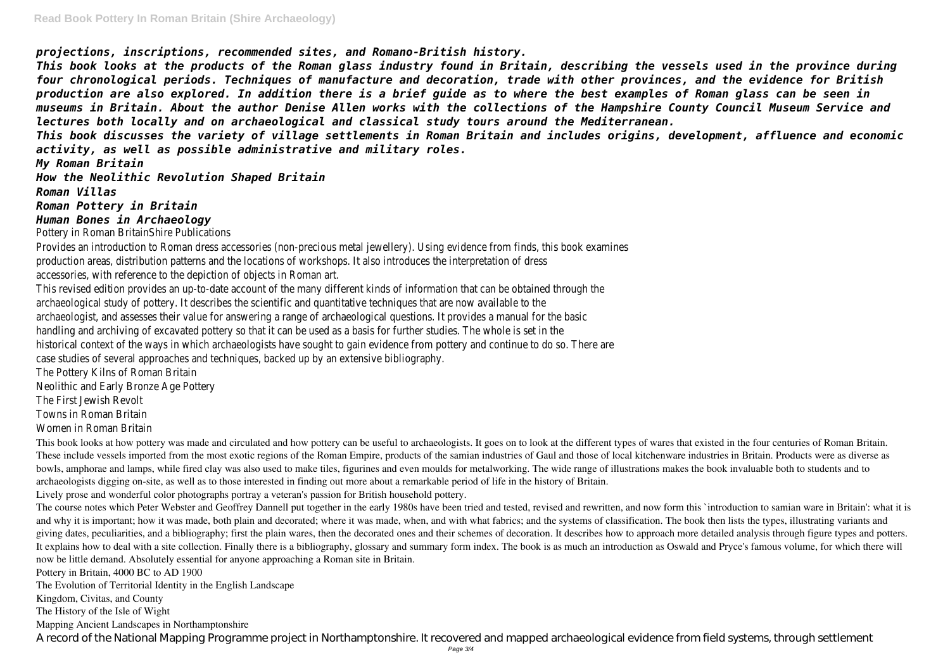*projections, inscriptions, recommended sites, and Romano-British history.*

*This book looks at the products of the Roman glass industry found in Britain, describing the vessels used in the province during four chronological periods. Techniques of manufacture and decoration, trade with other provinces, and the evidence for British production are also explored. In addition there is a brief guide as to where the best examples of Roman glass can be seen in museums in Britain. About the author Denise Allen works with the collections of the Hampshire County Council Museum Service and lectures both locally and on archaeological and classical study tours around the Mediterranean.*

*This book discusses the variety of village settlements in Roman Britain and includes origins, development, affluence and economic activity, as well as possible administrative and military roles.*

*My Roman Britain*

*How the Neolithic Revolution Shaped Britain*

*Roman Villas*

*Roman Pottery in Britain*

*Human Bones in Archaeology*

Pottery in Roman BritainShire Publications

Provides an introduction to Roman dress accessories (non-precious metal jewellery). Using evidence from finds, this book examines production areas, distribution patterns and the locations of workshops. It also introduces the interpretation of dress accessories, with reference to the depiction of objects in Roman art.

This book looks at how pottery was made and circulated and how pottery can be useful to archaeologists. It goes on to look at the different types of wares that existed in the four centuries of Roman Britain. These include vessels imported from the most exotic regions of the Roman Empire, products of the samian industries of Gaul and those of local kitchenware industries in Britain. Products were as diverse as bowls, amphorae and lamps, while fired clay was also used to make tiles, figurines and even moulds for metalworking. The wide range of illustrations makes the book invaluable both to students and to archaeologists digging on-site, as well as to those interested in finding out more about a remarkable period of life in the history of Britain.

This revised edition provides an up-to-date account of the many different kinds of information that can be obtained through the archaeological study of pottery. It describes the scientific and quantitative techniques that are now available to the archaeologist, and assesses their value for answering a range of archaeological questions. It provides a manual for the basic handling and archiving of excavated pottery so that it can be used as a basis for further studies. The whole is set in the historical context of the ways in which archaeologists have sought to gain evidence from pottery and continue to do so. There are case studies of several approaches and techniques, backed up by an extensive bibliography.

The Pottery Kilns of Roman Britain

Neolithic and Early Bronze Age Pottery

The First Jewish Revolt

Towns in Roman Britain

Women in Roman Britain

Lively prose and wonderful color photographs portray a veteran's passion for British household pottery.

The course notes which Peter Webster and Geoffrey Dannell put together in the early 1980s have been tried and tested, revised and rewritten, and now form this `introduction to samian ware in Britain': what it is and why it is important; how it was made, both plain and decorated; where it was made, when, and with what fabrics; and the systems of classification. The book then lists the types, illustrating variants and giving dates, peculiarities, and a bibliography; first the plain wares, then the decorated ones and their schemes of decoration. It describes how to approach more detailed analysis through figure types and potters. It explains how to deal with a site collection. Finally there is a bibliography, glossary and summary form index. The book is as much an introduction as Oswald and Pryce's famous volume, for which there will now be little demand. Absolutely essential for anyone approaching a Roman site in Britain.

Pottery in Britain, 4000 BC to AD 1900

The Evolution of Territorial Identity in the English Landscape

Kingdom, Civitas, and County

The History of the Isle of Wight

Mapping Ancient Landscapes in Northamptonshire

A record of the National Mapping Programme project in Northamptonshire. It recovered and mapped archaeological evidence from field systems, through settlement